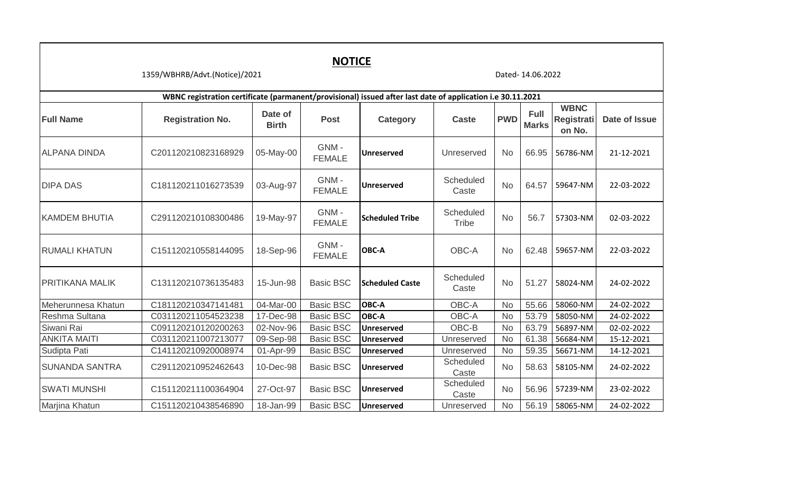| <b>NOTICE</b><br>1359/WBHRB/Advt.(Notice)/2021<br>Dated-14.06.2022 |                                                                                                            |                         |                       |                        |                           |            |                             |                                     |               |  |  |  |  |
|--------------------------------------------------------------------|------------------------------------------------------------------------------------------------------------|-------------------------|-----------------------|------------------------|---------------------------|------------|-----------------------------|-------------------------------------|---------------|--|--|--|--|
|                                                                    | WBNC registration certificate (parmanent/provisional) issued after last date of application i.e 30.11.2021 |                         |                       |                        |                           |            |                             |                                     |               |  |  |  |  |
| <b>Full Name</b>                                                   | <b>Registration No.</b>                                                                                    | Date of<br><b>Birth</b> | <b>Post</b>           | <b>Category</b>        | <b>Caste</b>              | <b>PWD</b> | <b>Full</b><br><b>Marks</b> | <b>WBNC</b><br>Registrati<br>on No. | Date of Issue |  |  |  |  |
| <b>ALPANA DINDA</b>                                                | C201120210823168929                                                                                        | 05-May-00               | GNM-<br><b>FEMALE</b> | <b>Unreserved</b>      | Unreserved                | <b>No</b>  | 66.95                       | 56786-NM                            | 21-12-2021    |  |  |  |  |
| <b>DIPA DAS</b>                                                    | C181120211016273539                                                                                        | 03-Aug-97               | GNM-<br><b>FEMALE</b> | <b>Unreserved</b>      | Scheduled<br>Caste        | <b>No</b>  | 64.57                       | 59647-NM                            | 22-03-2022    |  |  |  |  |
| <b>KAMDEM BHUTIA</b>                                               | C291120210108300486                                                                                        | 19-May-97               | GNM-<br><b>FEMALE</b> | <b>Scheduled Tribe</b> | Scheduled<br><b>Tribe</b> | <b>No</b>  | 56.7                        | 57303-NM                            | 02-03-2022    |  |  |  |  |
| <b>RUMALI KHATUN</b>                                               | C151120210558144095                                                                                        | 18-Sep-96               | GNM-<br><b>FEMALE</b> | OBC-A                  | OBC-A                     | No.        | 62.48                       | 59657-NM                            | 22-03-2022    |  |  |  |  |
| PRITIKANA MALIK                                                    | C131120210736135483                                                                                        | 15-Jun-98               | <b>Basic BSC</b>      | <b>Scheduled Caste</b> | Scheduled<br>Caste        | <b>No</b>  | 51.27                       | 58024-NM                            | 24-02-2022    |  |  |  |  |
| Meherunnesa Khatun                                                 | C181120210347141481                                                                                        | 04-Mar-00               | <b>Basic BSC</b>      | <b>OBC-A</b>           | OBC-A                     | <b>No</b>  | 55.66                       | 58060-NM                            | 24-02-2022    |  |  |  |  |
| Reshma Sultana                                                     | C031120211054523238                                                                                        | 17-Dec-98               | <b>Basic BSC</b>      | <b>OBC-A</b>           | OBC-A                     | No         | 53.79                       | 58050-NM                            | 24-02-2022    |  |  |  |  |
| Siwani Rai                                                         | C091120210120200263                                                                                        | 02-Nov-96               | <b>Basic BSC</b>      | <b>Unreserved</b>      | OBC-B                     | No         | 63.79                       | 56897-NM                            | 02-02-2022    |  |  |  |  |
| <b>ANKITA MAITI</b>                                                | C031120211007213077                                                                                        | 09-Sep-98               | <b>Basic BSC</b>      | <b>Unreserved</b>      | Unreserved                | <b>No</b>  | 61.38                       | 56684-NM                            | 15-12-2021    |  |  |  |  |
| Sudipta Pati                                                       | C141120210920008974                                                                                        | 01-Apr-99               | <b>Basic BSC</b>      | <b>Unreserved</b>      | Unreserved                | <b>No</b>  | 59.35                       | 56671-NM                            | 14-12-2021    |  |  |  |  |
| <b>SUNANDA SANTRA</b>                                              | C291120210952462643                                                                                        | 10-Dec-98               | <b>Basic BSC</b>      | <b>Unreserved</b>      | Scheduled<br>Caste        | <b>No</b>  | 58.63                       | 58105-NM                            | 24-02-2022    |  |  |  |  |
| <b>SWATI MUNSHI</b>                                                | C151120211100364904                                                                                        | 27-Oct-97               | <b>Basic BSC</b>      | <b>Unreserved</b>      | Scheduled<br>Caste        | <b>No</b>  | 56.96                       | 57239-NM                            | 23-02-2022    |  |  |  |  |
| Marjina Khatun                                                     | C151120210438546890                                                                                        | 18-Jan-99               | <b>Basic BSC</b>      | <b>Unreserved</b>      | Unreserved                | <b>No</b>  |                             | 56.19 58065-NM                      | 24-02-2022    |  |  |  |  |